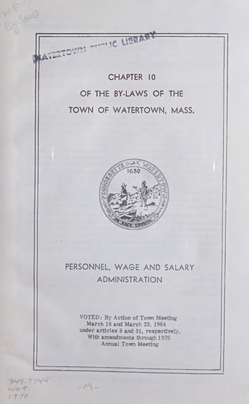CHAPTER 10 OF THE BY-LAWS OF THE TOWN OF WATERTOWN, MASS.

THE LIBRAR

U *4*



# PERSONNEL, WAGE AND SALARY ADMINISTRATION

VOTED: By Action of Town Meeting March 16 and March 23, 1964 under articles 8 and 51, respectively, With amendments through 1970 Annual Town Meeting

**3V?-**

*117#*

 $1 - 0 + 1$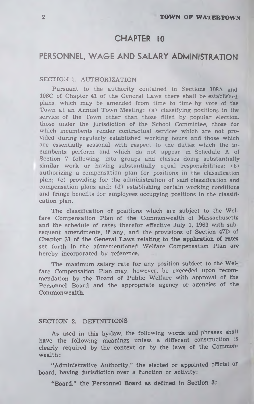# CHAPTER 10

# PERSONNEL, WAGE AND SALARY ADMINISTRATION

### SECTION 1. AUTHORIZATION

Pursuant to the authority contained in Sections 108A and 108C of Chapter 41 of the General Laws there shall be established plans, which may be amended from time to time by vote of the Town at an Annual Town Meeting; (a) classifying positions in the service of the Town other than those filled by popular election, those under the jurisdiction of the School Committee, those for which incumbents render contractual services which are not provided during regularly established working hours and those which are essentially seasonal with respect to the duties which the incum bents perform and which do not appear in Schedule A of Section 7 following, into groups and classes doing substantially similar work or having substantially equal responsibilities; (b) authorizing a compensation plan for positions in the classification plan; (c) providing for the administration of said classification and compensation plans and; (d) establishing certain working conditions and fringe benefits for employees occupying positions in the classification plan.

The classification of positions which are subject to the Welfare Compensation Plan of the Commonwealth of Massachusetts and the schedule of rates therefor effective July 1, 1963 with subsequent amendments, if any, and the provisions of Section 47D of Chapter **31 of** the **General Laws relating to the application of rates** set forth in the aforementioned Welfare Compensation Plan are hereby incorporated by reference.

The maximum salary rate for any position subject to the Welfare Compensation Plan may, however, be exceeded upon recommendation by the Board of Public Welfare with approval of the Personnel Board and the appropriate agency or agencies of the Commonwealth.

## **SECTION 2. DEFINITIONS**

As used in this by-law, the following words and phrases shall have the following meanings unless a different construction is clearly required by the context or by the laws of the Commonwealth:

"Administrative Authority," the elected or appointed official or board, having jurisdiction over a function or activity;

**"Board," the Personnel Board as defined in Section 3;**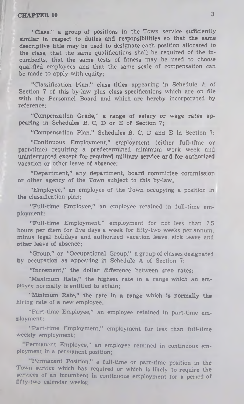"Class," a group of positions in the Town service sufficiently similar in respect to duties and responsibilities so that the same descriptive title may be used to designate each position allocated to the class, that the same qualifications shall be required of the incumbents, that the same tests of fitness may be used to choose qualified employees and that the same scale of compensation can be made to apply with equity;

"Classification Plan," class titles appearing in Schedule A of Section 7 of this by-law plus class specifications which are on file with the Personnel Board and which are hereby incorporated by reference;

"Compensation Grade," a range of salary or wage rates appearing in Schedules B, C, D or E of Section 7;

"Compensation Plan," Schedules B, C, D and E in Section 7;

"Continuous Employment," employment (either full-time or part-time) requiring a predetermined minimum work week and uninterrupted except for required military service and for authorized vacation or other leave of absence;

"Department," any department, board committee commission or other agency of the Town subject to this by-law;

"Employee," an employee of the Town occupying a position in the classification plan;

"Full-time Employee," an employee retained in full-time employment;

"Full-time Employment," employment for not less than 7.5 hours per diem for five days a week for fifty-two weeks per annum, minus legal holidays and authorized vacation leave, sick leave and other leave of absence;

"Group," or "Occupational Group," a group of classes designated by occupation as appearing in Schedule A of Section 7;

"Increment," the dollar difference between step rates;

"Maximum Rate," the highest rate in a range which an employee normally is entitled to attain;

"Minimum Rate," the rate in a range which is normally the hiring rate of a new employee;

"Part-time Employee," an employee retained in part-time employment;

"Part-time Employment," employment for less than full-time weekly employment;

Permanent Employee," an employee retained in continuous employment in a permanent position;

Permanent Position," a full-time or part-time position in the Town service which has required or which is likely to require the services of an incumbent in continuous employment for a period of fifty-two calendar weeks: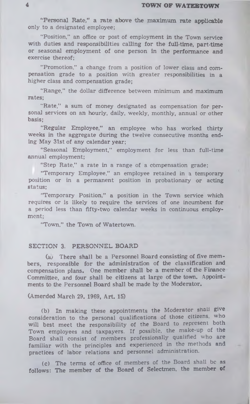"Personal Rate," a rate above the maximum rate applicable only to a designated employee;

"Position," an office or post of employment in the Town service with duties and responsibilities calling for the full-time, part-time or seasonal employment of one person in the performance and exercise thereof;

"Promotion," a change from a position of lower class and compensation grade to a position with greater responsibilities in a higher class and compensation grade;

"Range," the dollar difference between minimum and maximum rates;

"Rate," a sum of money designated as compensation for personal services on an hourly, daily, weekly, monthly, annual or other basis;

"Regular Employee," an employee who has worked thirty weeks in the aggregate during the twelve consecutive months ending May 31st of any calendar year;

"Seasonal Employment," employment for less than full-time annual employment;

"Step Rate," a rate in a range of a compensation grade;

"Temporary Employee," an employee retained in a temporary position or in a permanent position in probationary or acting status;

"Temporary Position," a position in the Town service which requires or is likely to require the services of one incumbent for a period less than fifty-two calendar weeks in continuous employment;

"Town," the Town of Watertown.

## **SECTION 3. PERSONNEL BOARD**

(a) There shall be a Personnel Board consisting of five members, responsible for the administration of the classification and compensation plans. One member shall be a member of the Finance Committee, and four shall be citizens at large of the town. Appointments to the Personnel Board shall be made by the Moderator.

(Amended March 29. 1969, Art. 15)

(b) In making these appointments the Moderator shall give consideration to the personal qualifications of those citizens, who will best meet the responsibility of the Board to represent both Town employees and taxpayers. If possible, the make-up of the Board shall consist of members professionally qualified who are familiar with the principles and experienced in the methods and practices of labor relations and personnel administration.

(c) The terms of office of members of the Board shall be as follows: The member of the Board of Selectmen, the member of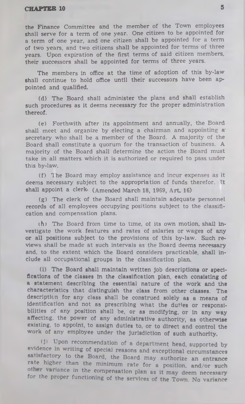the Finance Committee and the member of the Town employees shall serve for a term of one year. One citizen to be appointed for a term of one year, and one citizen shall be appointed for a term of two years, and two citizens shall be appointed for terms of three years. Upon expiration of the first terms of said citizen members, their successors shall be appointed for terms of three years.

The members in office at the time of adoption of this by-law shall continue to hold office until their successors have been appointed and qualified.

(d) The Board shall administer the plans and shall establish such procedures as it deems necessary for the proper administration thereof.

(e) Forthwith after its appointment and annually, the Board shall meet and organize by electing a chairman and appointing a' secretary who shall be a member of the Board. A majority of the Board shall constitute a quorum for the transaction of business. A majority of the Board shall determine the action the Board must take in all matters which it is authorized or required to pass under this by-law.

(f) 1 he Board may employ assistance and incur expenses as it deems necessary subject to the appropriation of funds therefor. It shall appoint a clerk. (Amended March 18, 1969, Art. 16)

(g) The clerk of the Board shall maintain adequate personnel records of all employees occupying positions subject to the classification and compensation plans.

(h) The Board from time to time, of its own motion, shall investigate the work features and rates of salaries or wages of any or all positions subject to the provisions of this by-law. Such reviews shall be made at such intervals as the Board deems necessary and, to the extent which the Board considers practicable, shall include all occupational groups in the classification plan.

(i) The Board shall maintain written Job descriptions or specifications of the classes in the classification plan, each consisting of a statement describing the essential nature of the work and the characteristics that distinguish the class from other classes. The description for any class shall be construed solely as a means of identification and not as prescribing what the duties or responsibilities of any position shall be, or as modifying, or in any way affecting, the power of any administrative authority, as otherwise existing, to appoint, to assign duties to, or to direct and control the work of any employee under the Jurisdiction of such authority.

(1) Upon recommendation of a department head, supported by evidence in writing of special reasons and exceptional circumstances satisfactory to the Board, the Board may authorize an entrance rate higher than the minimum rate for a position, and/or such other variance in the compensation plan as it may deem necessary for the proper functioning of the services of the Town. No variance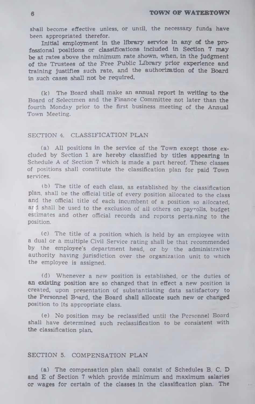**shall become effective unless, or until, the necessary funds have been appropriated therefor.**

**Initial employment in the library service In any** *at* **the professional positions or classifications included in Section 7 may be at rates above the minimum rate shown, when, in the Judgment of the Trustees of the Free Public Library prior experience and training Justifies such rate, and the authorization of the Board in such cases shall not be required.**

**(k) The** Board **shall make an annual report in writing to the** Board of Selectmen and the Finance Committee not later than the fourth Monday prior to the first business meeting of the Annual Town Meeting.

#### SECTION 4. CLASSIFICATION PLAN

(a) All positions in the service of the Town except those excluded by Section **1** are h ereby classified by **titles appearing in** Schedule A of Section 7 which is made a part hereof. These classes of positions shall constitute the classification plan for paid **Town** services.

(b) The title of each class, as established by the classification plan, shall be the official title of every position allocated to the class and the official title of each incumbent of a position so allocated, ard shall be used to the exclusion of all others on payrolls, budget estimates and other official records and reports pertaining to the position.

(c) The title of a position which is held by an employee with a dual or a multiple Civil Service rating shall be that recommended by the employee's department head, or by the administrative authority having jurisdiction over the organization unit to which the employee is assigned.

(d) W henever a new position is established, or the duties of **an existing position are so changed that in effect** a new position is created, upon presentation of substantiating data satisfactory to **the Personnel Board, the Board shall allocate such new or changed** position to its appropriate class.

(e) No position may be reclassified until the Personnel Board shall have determined such reclassification to be consistent with the classification plan.

## **SECTION 5. COMPENSATION PLAN**

**(a) The compensation plan shall consist of Schedules B, C, D and E of Section 7 which provide minimum and maximum salaries or wages for certain of the classes in the classification plan.** The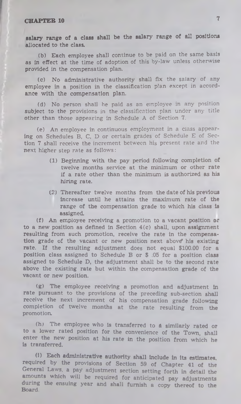salary range of a class shall be the salary range of all positions allocated to the class.

(b) Each employee shall continue to be paid on the same basis as in effect at the time of adoption of this by-law unless otherwise provided in the compensation plan.

(c) No administrative authority shall fix the salary of any employee in a position in the classification plan except in accordance with the compensation plan.

(d) No person shall he paid as an employee in any position subject to the provisions in the classification plan under any title other than those appearing in Schedule A of Section 7.

(e) An employee in continuous employment in a class appearing on Schedules B, C, D or certain grades of Schedule E of Section 7 shall receive the increment between his present rate and the next higher step rate as follows:

- (1) Beginning with the pay period following completion of twelve months service at the minimum or other rate if a rate other than the minimum is authorized as his hiring rate.
- (2) Thereafter twelve months from the date of his previous increase until he attains the maximum rate of the range of the compensation grade to which his class is assigned.

(f) An employee receiving a promotion to a vacant position or to a new position as defined in Section 4(c) shall, upon assignment resulting from such promotion, receive the rate in the compensation grade of the vacant or new position next above his existing rate. If the resulting adjustment does not equal \$100.00 for a position class assigned to Schedule B or \$ .05 for a position class assigned to Schedule D, the adjustment shall be to the second rate above the existing rate but within the compensation grade of the vacant or new position.

(g) The employee receiving a promotion and adjustment In rate pursuant to the provisions of the preceding sub-section shall receive the next increment of his compensation grade following completion of twelve months at the rate resulting from the promotion.

(h) The employee who is transferred to a similarly rated or to a lower rated position for the convenience of the Town, shall enter the new position at his rate in the position from which he is transferred.

(I) Each administrative authority shall include in its estimates, required by the provisions of Section 59 of Chapter 41 of the General Laws, a pay adjustment section setting forth in detail the amounts which will be required for anticipated pay adjustments during the ensuing year and shall furnish a copy thereof to the Board.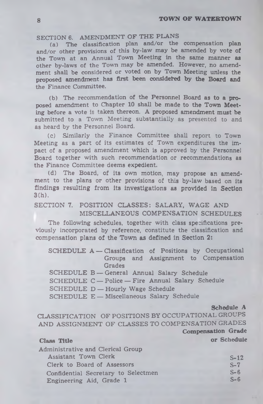# SECTION 6. AMENDMENT OF THE PLANS

(a) The classification plan and/or the compensation plan and/or other provisions of this by-law may be amended by vote of the Town at an Annual Town Meeting in the same manner as other by-laws of the Town may be amended. However, no amendment shall be considered or voted on by Town Meeting unless the proposed amendment has first been considered **by** the Board and the Finance Committee.

 $(b)$  The recommendation of the Personnel Board as to a proposed amendment to Chapter 10 shall be made to the Town Meeting before a vote is taken thereon. A proposed amendment must be submitted to a Town Meeting substantially as presented to and as heard by the Personnel Board.

(c) Similarly the Finance Committee shall report to Town Meeting as a part of its estimates of Town expenditures the impact of a proposed amendment which is approved by the Personnel Board together with such recommendation or recommendations as the Finance Committee deems expedient.

(d) The Board, of its own motion, may propose an amendment to the plans or other provisions of this by-law based on its findings resulting from its investigations as provided in Section  $3(h)$ .

# SECTION 7. POSITION CLASSES: SALARY, WAGE AND MISCELLANEOUS COMPENSATION SCHEDULES

The following schedules, together with class specifications previously incorporated by reference, constitute the classification and compensation plans of the Town as defined in Section 2:

SCHEDULE  $A -$ Classification of Positions by Occupational Groups and Assignment to Compensation **Grades** 

- SCHEDULE B-General Annual Salary Schedule
- SCHEDULE C Police Fire Annual Salary Schedule

SCHEDULE D - Hourly Wage Schedule

SCHEDULE E - Miscellaneous Salary Schedule

#### **Schedule A**

CLASSIFICATION OF POSITIONS BY OCCUPATIONAL GROUPS AND ASSIGNMENT OF CLASSES TO COMPENSATION GRADES **Compensation Grade**

**Class Title or Schedule** 

| Administrative and Clerical Group   |        |
|-------------------------------------|--------|
| Assistant Town Clerk                | $S-12$ |
| Clerk to Board of Assessors         | $S-7$  |
| Confidential Secretary to Selectmen | $S-6$  |
| Engineering Aid, Grade 1            | $S-6$  |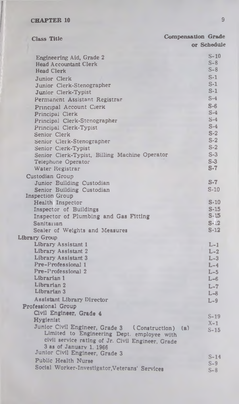| <b>Class Title</b>                                       | <b>Compensation Grade</b> |
|----------------------------------------------------------|---------------------------|
|                                                          | or Schedule               |
|                                                          | $S-10$                    |
| Engineering Aid, Grade 2<br><b>Head Accountant Clerk</b> | $S-8$                     |
| <b>Head Clerk</b>                                        | $S-8$                     |
| Junior Clerk                                             | $S-1$                     |
| Junior Clerk-Stenographer                                | $S-1$                     |
| Junior Clerk-Typist                                      | $S-1$                     |
|                                                          | $S-4$                     |
| Permanent Assistant Registrar                            | $S-6$                     |
| Principal Account Cierk                                  | $S-4$                     |
| Principal Clerk                                          | $S-4$                     |
| Principal Clerk-Stenographer                             | $S-4$                     |
| Principal Clerk-Typist                                   | $S-2$                     |
| Senior Clerk                                             | $S-2$                     |
| Senior Clerk-Stenographer                                | $S-2$                     |
| Senior Clerk-Typist                                      | $S-3$                     |
| Senior Clerk-Typist, Billing Machine Operator            | $S-3$                     |
| Telephone Operator<br>Water Registrar                    | $S-7$                     |
|                                                          |                           |
| Custodian Group                                          | $S-7$                     |
| Junior Building Custodian                                | $S-10$                    |
| Senior Building Custodian<br><b>Inspection Group</b>     |                           |
| Health Inspector                                         | $S-10$                    |
| Inspector of Buildings                                   | $S-15$                    |
| Inspector of Plumbing and Gas Fitting                    | $S-15$                    |
| Sanitarian                                               | $S-12$                    |
| Scaler of Weights and Measures                           | $S-12$                    |
| Library Group                                            |                           |
| Library Assistant 1                                      | $L-1$                     |
| Library Assistant 2                                      | $L-2$                     |
| Library Assistant 3                                      | $L-3$                     |
| Pre-Professional 1                                       | $L-4$                     |
| Pre-Professional 2                                       | $L-5$                     |
| Librarian 1                                              | $L-6$                     |
| Librarian 2                                              | $L-7$                     |
| Librarian 3                                              | $L - 8$                   |
| Assistant Library Director                               | $L-9$                     |
| <b>Professional Group</b>                                |                           |
| Civil Engineer, Grade 4                                  |                           |
| Hygienist                                                | $S-19$                    |
| Junior Civil Engineer, Grade 3 (Construction) (a)        | $X-1$                     |
| Limited to Engineering Dept. employee with               | $S-15$                    |
| civil service rating of Jr. Civil Engineer, Grade        |                           |
| 3 as of January 1, 1966                                  |                           |
| Junior Civil Engineer, Grade 3                           | $S-14$                    |
| <b>Public Health Nurse</b>                               | $S-9$                     |
| Social Worker-Investigator, Veterans' Services           | $S-8$                     |
|                                                          |                           |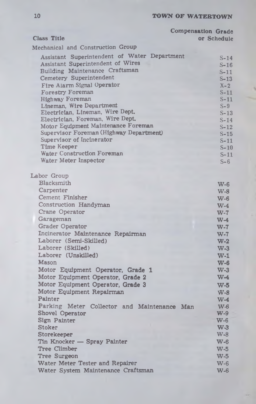| Class Title<br>Mechanical and Construction Group<br>Assistant Superintendent of Water Department<br>$S-14$<br><b>Assistant Superintendent of Wires</b><br>$S-16$<br>Building Maintenance Craftsman<br>$S-11$<br>Cemetery Superintendent<br>$S-13$<br>Fire Alarm Signal Operator<br>$X-2$<br><b>Forestry Foreman</b><br>$S-11$<br>Highway Foreman<br>$S-11$<br>Lineman, Wire Department<br>$S-9$<br>Electrician, Lineman, Wire Dept.<br>$S-13$<br>Electrician, Foreman, Wire Dept.<br>$S-14$<br>Motor Equipment Maintenance Foreman<br>$S-12$<br>Supervisor Foreman (Highway Department)<br>$S-15$<br>Supervisor of Incinerator<br>$S-11$<br>Time Keeper<br>$S-10$<br>Water Construction Foreman<br>$S-11$<br>Water Meter Inspector<br>$S-6$<br>Labor Group<br>Blacksmith<br>$W-6$<br>Carpenter<br>$W-8$<br>Cement Finisher<br>$W-6$<br>Construction Handyman<br>$W-4$<br>Crane Operator<br>$W-7$<br>Garageman<br>$W-4$<br><b>Grader Operator</b><br>$W-7$<br>Incinerator Maintenance Repairman<br>$W-7$<br>Laborer (Semi-Skilled)<br>$W-2$<br>Laborer (Skilled)<br>$W-3$<br>Laborer (Unskilled)<br>$W-1$<br><b>Mason</b><br>$W-6$<br>Motor Equipment Operator, Grade 1<br>$W-3$<br>$W-4$<br>Motor Equipment Operator, Grade 2<br>Motor Equipment Operator, Grade 3<br>$W-5$<br>Motor Equipment Repairman<br>$W-8$<br>Painter<br>$W-4$<br>Parking Meter Collector and Maintenance Man<br>$W-6$<br><b>Shovel Operator</b><br>$W-9$<br>Sign Painter<br>$W-6$<br><b>Stoker</b><br>$W-3$<br>Storekeeper<br>$W-8$<br>Tin Knocker - Spray Painter<br>$W-6$<br><b>Tree Climber</b><br>$W-5$<br><b>Tree Surgeon</b><br>$W-5$<br>Water Meter Tester and Repairer<br>$W-6$ |                                    | <b>Compensation Grade</b> |
|-----------------------------------------------------------------------------------------------------------------------------------------------------------------------------------------------------------------------------------------------------------------------------------------------------------------------------------------------------------------------------------------------------------------------------------------------------------------------------------------------------------------------------------------------------------------------------------------------------------------------------------------------------------------------------------------------------------------------------------------------------------------------------------------------------------------------------------------------------------------------------------------------------------------------------------------------------------------------------------------------------------------------------------------------------------------------------------------------------------------------------------------------------------------------------------------------------------------------------------------------------------------------------------------------------------------------------------------------------------------------------------------------------------------------------------------------------------------------------------------------------------------------------------------------------------------------------------------------------------------------------------------------------------------|------------------------------------|---------------------------|
|                                                                                                                                                                                                                                                                                                                                                                                                                                                                                                                                                                                                                                                                                                                                                                                                                                                                                                                                                                                                                                                                                                                                                                                                                                                                                                                                                                                                                                                                                                                                                                                                                                                                 |                                    | or Schedule               |
|                                                                                                                                                                                                                                                                                                                                                                                                                                                                                                                                                                                                                                                                                                                                                                                                                                                                                                                                                                                                                                                                                                                                                                                                                                                                                                                                                                                                                                                                                                                                                                                                                                                                 |                                    |                           |
|                                                                                                                                                                                                                                                                                                                                                                                                                                                                                                                                                                                                                                                                                                                                                                                                                                                                                                                                                                                                                                                                                                                                                                                                                                                                                                                                                                                                                                                                                                                                                                                                                                                                 |                                    |                           |
|                                                                                                                                                                                                                                                                                                                                                                                                                                                                                                                                                                                                                                                                                                                                                                                                                                                                                                                                                                                                                                                                                                                                                                                                                                                                                                                                                                                                                                                                                                                                                                                                                                                                 |                                    |                           |
|                                                                                                                                                                                                                                                                                                                                                                                                                                                                                                                                                                                                                                                                                                                                                                                                                                                                                                                                                                                                                                                                                                                                                                                                                                                                                                                                                                                                                                                                                                                                                                                                                                                                 |                                    |                           |
|                                                                                                                                                                                                                                                                                                                                                                                                                                                                                                                                                                                                                                                                                                                                                                                                                                                                                                                                                                                                                                                                                                                                                                                                                                                                                                                                                                                                                                                                                                                                                                                                                                                                 |                                    |                           |
|                                                                                                                                                                                                                                                                                                                                                                                                                                                                                                                                                                                                                                                                                                                                                                                                                                                                                                                                                                                                                                                                                                                                                                                                                                                                                                                                                                                                                                                                                                                                                                                                                                                                 |                                    |                           |
|                                                                                                                                                                                                                                                                                                                                                                                                                                                                                                                                                                                                                                                                                                                                                                                                                                                                                                                                                                                                                                                                                                                                                                                                                                                                                                                                                                                                                                                                                                                                                                                                                                                                 |                                    |                           |
|                                                                                                                                                                                                                                                                                                                                                                                                                                                                                                                                                                                                                                                                                                                                                                                                                                                                                                                                                                                                                                                                                                                                                                                                                                                                                                                                                                                                                                                                                                                                                                                                                                                                 |                                    |                           |
|                                                                                                                                                                                                                                                                                                                                                                                                                                                                                                                                                                                                                                                                                                                                                                                                                                                                                                                                                                                                                                                                                                                                                                                                                                                                                                                                                                                                                                                                                                                                                                                                                                                                 |                                    |                           |
|                                                                                                                                                                                                                                                                                                                                                                                                                                                                                                                                                                                                                                                                                                                                                                                                                                                                                                                                                                                                                                                                                                                                                                                                                                                                                                                                                                                                                                                                                                                                                                                                                                                                 |                                    |                           |
|                                                                                                                                                                                                                                                                                                                                                                                                                                                                                                                                                                                                                                                                                                                                                                                                                                                                                                                                                                                                                                                                                                                                                                                                                                                                                                                                                                                                                                                                                                                                                                                                                                                                 |                                    |                           |
|                                                                                                                                                                                                                                                                                                                                                                                                                                                                                                                                                                                                                                                                                                                                                                                                                                                                                                                                                                                                                                                                                                                                                                                                                                                                                                                                                                                                                                                                                                                                                                                                                                                                 |                                    |                           |
|                                                                                                                                                                                                                                                                                                                                                                                                                                                                                                                                                                                                                                                                                                                                                                                                                                                                                                                                                                                                                                                                                                                                                                                                                                                                                                                                                                                                                                                                                                                                                                                                                                                                 |                                    |                           |
|                                                                                                                                                                                                                                                                                                                                                                                                                                                                                                                                                                                                                                                                                                                                                                                                                                                                                                                                                                                                                                                                                                                                                                                                                                                                                                                                                                                                                                                                                                                                                                                                                                                                 |                                    |                           |
|                                                                                                                                                                                                                                                                                                                                                                                                                                                                                                                                                                                                                                                                                                                                                                                                                                                                                                                                                                                                                                                                                                                                                                                                                                                                                                                                                                                                                                                                                                                                                                                                                                                                 |                                    |                           |
|                                                                                                                                                                                                                                                                                                                                                                                                                                                                                                                                                                                                                                                                                                                                                                                                                                                                                                                                                                                                                                                                                                                                                                                                                                                                                                                                                                                                                                                                                                                                                                                                                                                                 |                                    |                           |
|                                                                                                                                                                                                                                                                                                                                                                                                                                                                                                                                                                                                                                                                                                                                                                                                                                                                                                                                                                                                                                                                                                                                                                                                                                                                                                                                                                                                                                                                                                                                                                                                                                                                 |                                    |                           |
|                                                                                                                                                                                                                                                                                                                                                                                                                                                                                                                                                                                                                                                                                                                                                                                                                                                                                                                                                                                                                                                                                                                                                                                                                                                                                                                                                                                                                                                                                                                                                                                                                                                                 |                                    |                           |
|                                                                                                                                                                                                                                                                                                                                                                                                                                                                                                                                                                                                                                                                                                                                                                                                                                                                                                                                                                                                                                                                                                                                                                                                                                                                                                                                                                                                                                                                                                                                                                                                                                                                 |                                    |                           |
|                                                                                                                                                                                                                                                                                                                                                                                                                                                                                                                                                                                                                                                                                                                                                                                                                                                                                                                                                                                                                                                                                                                                                                                                                                                                                                                                                                                                                                                                                                                                                                                                                                                                 |                                    |                           |
|                                                                                                                                                                                                                                                                                                                                                                                                                                                                                                                                                                                                                                                                                                                                                                                                                                                                                                                                                                                                                                                                                                                                                                                                                                                                                                                                                                                                                                                                                                                                                                                                                                                                 |                                    |                           |
|                                                                                                                                                                                                                                                                                                                                                                                                                                                                                                                                                                                                                                                                                                                                                                                                                                                                                                                                                                                                                                                                                                                                                                                                                                                                                                                                                                                                                                                                                                                                                                                                                                                                 |                                    |                           |
|                                                                                                                                                                                                                                                                                                                                                                                                                                                                                                                                                                                                                                                                                                                                                                                                                                                                                                                                                                                                                                                                                                                                                                                                                                                                                                                                                                                                                                                                                                                                                                                                                                                                 |                                    |                           |
|                                                                                                                                                                                                                                                                                                                                                                                                                                                                                                                                                                                                                                                                                                                                                                                                                                                                                                                                                                                                                                                                                                                                                                                                                                                                                                                                                                                                                                                                                                                                                                                                                                                                 |                                    |                           |
|                                                                                                                                                                                                                                                                                                                                                                                                                                                                                                                                                                                                                                                                                                                                                                                                                                                                                                                                                                                                                                                                                                                                                                                                                                                                                                                                                                                                                                                                                                                                                                                                                                                                 |                                    |                           |
|                                                                                                                                                                                                                                                                                                                                                                                                                                                                                                                                                                                                                                                                                                                                                                                                                                                                                                                                                                                                                                                                                                                                                                                                                                                                                                                                                                                                                                                                                                                                                                                                                                                                 |                                    |                           |
|                                                                                                                                                                                                                                                                                                                                                                                                                                                                                                                                                                                                                                                                                                                                                                                                                                                                                                                                                                                                                                                                                                                                                                                                                                                                                                                                                                                                                                                                                                                                                                                                                                                                 |                                    |                           |
|                                                                                                                                                                                                                                                                                                                                                                                                                                                                                                                                                                                                                                                                                                                                                                                                                                                                                                                                                                                                                                                                                                                                                                                                                                                                                                                                                                                                                                                                                                                                                                                                                                                                 |                                    |                           |
|                                                                                                                                                                                                                                                                                                                                                                                                                                                                                                                                                                                                                                                                                                                                                                                                                                                                                                                                                                                                                                                                                                                                                                                                                                                                                                                                                                                                                                                                                                                                                                                                                                                                 |                                    |                           |
|                                                                                                                                                                                                                                                                                                                                                                                                                                                                                                                                                                                                                                                                                                                                                                                                                                                                                                                                                                                                                                                                                                                                                                                                                                                                                                                                                                                                                                                                                                                                                                                                                                                                 |                                    |                           |
|                                                                                                                                                                                                                                                                                                                                                                                                                                                                                                                                                                                                                                                                                                                                                                                                                                                                                                                                                                                                                                                                                                                                                                                                                                                                                                                                                                                                                                                                                                                                                                                                                                                                 |                                    |                           |
|                                                                                                                                                                                                                                                                                                                                                                                                                                                                                                                                                                                                                                                                                                                                                                                                                                                                                                                                                                                                                                                                                                                                                                                                                                                                                                                                                                                                                                                                                                                                                                                                                                                                 |                                    |                           |
|                                                                                                                                                                                                                                                                                                                                                                                                                                                                                                                                                                                                                                                                                                                                                                                                                                                                                                                                                                                                                                                                                                                                                                                                                                                                                                                                                                                                                                                                                                                                                                                                                                                                 |                                    |                           |
|                                                                                                                                                                                                                                                                                                                                                                                                                                                                                                                                                                                                                                                                                                                                                                                                                                                                                                                                                                                                                                                                                                                                                                                                                                                                                                                                                                                                                                                                                                                                                                                                                                                                 |                                    |                           |
|                                                                                                                                                                                                                                                                                                                                                                                                                                                                                                                                                                                                                                                                                                                                                                                                                                                                                                                                                                                                                                                                                                                                                                                                                                                                                                                                                                                                                                                                                                                                                                                                                                                                 |                                    |                           |
|                                                                                                                                                                                                                                                                                                                                                                                                                                                                                                                                                                                                                                                                                                                                                                                                                                                                                                                                                                                                                                                                                                                                                                                                                                                                                                                                                                                                                                                                                                                                                                                                                                                                 |                                    |                           |
|                                                                                                                                                                                                                                                                                                                                                                                                                                                                                                                                                                                                                                                                                                                                                                                                                                                                                                                                                                                                                                                                                                                                                                                                                                                                                                                                                                                                                                                                                                                                                                                                                                                                 |                                    |                           |
|                                                                                                                                                                                                                                                                                                                                                                                                                                                                                                                                                                                                                                                                                                                                                                                                                                                                                                                                                                                                                                                                                                                                                                                                                                                                                                                                                                                                                                                                                                                                                                                                                                                                 |                                    |                           |
|                                                                                                                                                                                                                                                                                                                                                                                                                                                                                                                                                                                                                                                                                                                                                                                                                                                                                                                                                                                                                                                                                                                                                                                                                                                                                                                                                                                                                                                                                                                                                                                                                                                                 |                                    |                           |
|                                                                                                                                                                                                                                                                                                                                                                                                                                                                                                                                                                                                                                                                                                                                                                                                                                                                                                                                                                                                                                                                                                                                                                                                                                                                                                                                                                                                                                                                                                                                                                                                                                                                 |                                    |                           |
|                                                                                                                                                                                                                                                                                                                                                                                                                                                                                                                                                                                                                                                                                                                                                                                                                                                                                                                                                                                                                                                                                                                                                                                                                                                                                                                                                                                                                                                                                                                                                                                                                                                                 |                                    |                           |
|                                                                                                                                                                                                                                                                                                                                                                                                                                                                                                                                                                                                                                                                                                                                                                                                                                                                                                                                                                                                                                                                                                                                                                                                                                                                                                                                                                                                                                                                                                                                                                                                                                                                 |                                    |                           |
|                                                                                                                                                                                                                                                                                                                                                                                                                                                                                                                                                                                                                                                                                                                                                                                                                                                                                                                                                                                                                                                                                                                                                                                                                                                                                                                                                                                                                                                                                                                                                                                                                                                                 |                                    |                           |
|                                                                                                                                                                                                                                                                                                                                                                                                                                                                                                                                                                                                                                                                                                                                                                                                                                                                                                                                                                                                                                                                                                                                                                                                                                                                                                                                                                                                                                                                                                                                                                                                                                                                 |                                    |                           |
|                                                                                                                                                                                                                                                                                                                                                                                                                                                                                                                                                                                                                                                                                                                                                                                                                                                                                                                                                                                                                                                                                                                                                                                                                                                                                                                                                                                                                                                                                                                                                                                                                                                                 |                                    |                           |
|                                                                                                                                                                                                                                                                                                                                                                                                                                                                                                                                                                                                                                                                                                                                                                                                                                                                                                                                                                                                                                                                                                                                                                                                                                                                                                                                                                                                                                                                                                                                                                                                                                                                 |                                    |                           |
|                                                                                                                                                                                                                                                                                                                                                                                                                                                                                                                                                                                                                                                                                                                                                                                                                                                                                                                                                                                                                                                                                                                                                                                                                                                                                                                                                                                                                                                                                                                                                                                                                                                                 | Water System Maintenance Craftsman | $W-6$                     |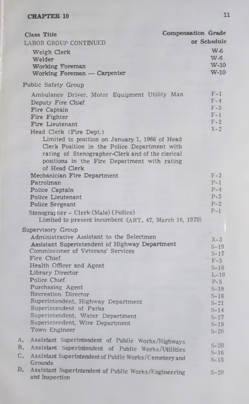| <b>Class Title</b>                                                                                                                                                                                                                                                                                                                                                                                                                                     | <b>Compensation Grade</b>                                                                                                             |
|--------------------------------------------------------------------------------------------------------------------------------------------------------------------------------------------------------------------------------------------------------------------------------------------------------------------------------------------------------------------------------------------------------------------------------------------------------|---------------------------------------------------------------------------------------------------------------------------------------|
| LABOR GROUP CONTINUED                                                                                                                                                                                                                                                                                                                                                                                                                                  | or Schedule                                                                                                                           |
| Weigh Clerk<br>Welder<br>Working Foreman<br>Working Foreman - Carpenter                                                                                                                                                                                                                                                                                                                                                                                | $\mathbf{W}$<br>$W-6$<br>$W-10$<br>$W-10$                                                                                             |
| Public Safety Group                                                                                                                                                                                                                                                                                                                                                                                                                                    |                                                                                                                                       |
| Ambulance Driver, Motor Equipment Utility Man<br>Deputy Fire Chief<br>Fire Captain<br>Fire Fighter<br>Fire Lieutenant<br>Head Clerk (Fire Dept.)<br>Limited to position on January 1, 1966 of Head<br>Clerk Position in the Police Department with<br>rating of Stenographer-Clerk and of the clerical<br>positions in the Fire Department with rating<br>of Head Clerk                                                                                | $F-1$<br>$F-4$<br>$F-3$<br>$F-1$<br>$F-2$<br>$X - 2$                                                                                  |
| Mechanician Fire Department<br>Patrolman<br>Police Captain<br>Police Lieutenant<br><b>Police Sergeant</b>                                                                                                                                                                                                                                                                                                                                              | $F-3$<br>$P-1$<br>$P-4$<br>$P-3$<br>$P-2$                                                                                             |
| Stenographer - Clerk (Male) (Police)<br>Limited to present incumbent (ART. 47, March 16, 1970)                                                                                                                                                                                                                                                                                                                                                         | $P-1$                                                                                                                                 |
| Supervisory Group<br>Administrative Assistant to the Selectmen<br>Assistant Superintendent of Highway Department<br><b>Commissioner of Veterans' Services</b><br>Fire Chief<br>Health Officer and Agent<br>Library Director<br>Police Chief<br>Purchasing Agent<br><b>Recreation Director</b><br>Superintendent, Highway Department<br>Superintendent of Parks<br>Superintendent, Water Department<br>Superintendent, Wire Department<br>Town Engineer | $X-3$<br>$S-19$<br>$S-17$<br>$F-5$<br>$S-16$<br>$L-10$<br>$P-5$<br>$S-19$<br>$S-16$<br>$S-21$<br>$S-14$<br>$S-17$<br>$S-18$<br>$S-20$ |
| Assistant Superintendent of Public Works/Highways<br>Α.<br>В.<br>Assistant Superintendent of Public Works/Utilities<br>C.<br>Assistant Superintendent of Public Works/Cemetery and<br>Grounds                                                                                                                                                                                                                                                          | $S-20$<br>$S-16$<br>$S-15$                                                                                                            |
| D,<br>Assistant Superintendent of Public Works/Engineering<br>and Inspection                                                                                                                                                                                                                                                                                                                                                                           | $S-20$                                                                                                                                |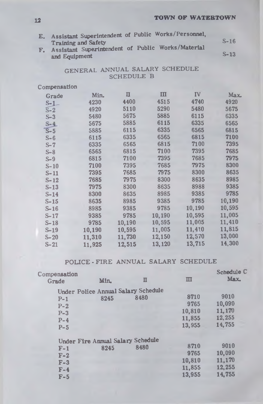E. Assistant Superintendent of Public Works/Personnel, Training and Safety F. Assistant Superintendent of Public Works/Material and Equipment **S-16 S-13**

# GENERAL ANNUAL SALARY SCHEDULE SCHEDULE B

# **Compensation**

| Grade              | Min.   | П      | Ш      | $\Gamma$ | Max.   |
|--------------------|--------|--------|--------|----------|--------|
| $S-1$              | 4230   | 4400   | 4515   | 4740     | 4920   |
| $\overline{S} - 2$ | 4920   | 5110   | 5290   | 5480     | 5675   |
| $S-3$              | 5480   | 5675   | 5885   | 6115     | 6335   |
| $S-4$              | 5675   | 5885   | 6115   | 6335     | 6565   |
| $S-5$              | 5885   | 6115   | 6335   | 6565     | 6815   |
| $S - 6$            | 6115   | 6335   | 6565   | 6815     | 7100   |
| $S-7$              | 6335   | 6565   | 6815   | 7100     | 7395   |
| $S-8$              | 6565   | 6815   | 7100   | 7395     | 7685   |
| $S-9$              | 6815   | 7100   | 7395   | 7685     | 7975   |
| $S-10$             | 7100   | 7395   | 7685   | 7975     | 8300   |
| $S-11$             | 7395   | 7685   | 7975   | 8300     | 8635   |
| $S - 12$           | 7685   | 7975   | 8300   | 8635     | 8985   |
| $S-13$             | 7975   | 8300   | 8635   | 8988     | 9385   |
| $S-14$             | 8300   | 8635   | 8985   | 9385     | 9785   |
| $S-15$             | 8635   | 8985   | 9385   | 9785     | 10,190 |
| $S-16$             | 8985   | 9385   | 9785   | 10,190   | 10,595 |
| $S - 17$           | 9385   | 9785   | 10,190 | 10,595   | 11,005 |
| $S-18$             | 9785   | 10,190 | 10,595 | 11,005   | 11,410 |
| $S-19$             | 10,190 | 10,595 | 11,005 | 11,410   | 11,815 |
| $S - 20$           | 11,310 | 11,730 | 12,150 | 12,570   | 13,000 |
| S-21               | 11,925 | 12,515 | 13,120 | 13,715   | 14,300 |

# **POLICE - FIRE ANNUAL SALARY SCHEDULE**

| Compensation<br>Grade | Min.                                       | п    | ш      | Schedule C<br>Max. |  |
|-----------------------|--------------------------------------------|------|--------|--------------------|--|
|                       | <b>Under Police Annual Salary Schedule</b> |      |        |                    |  |
| $P-1$                 | 8245                                       | 8480 | 8710   | 9010               |  |
| $P-2$                 |                                            |      | 9765   | 10,090             |  |
| $P-3$                 |                                            |      | 10,810 | 11,170             |  |
| $P-4$                 |                                            |      | 11,855 | 12,255             |  |
| $P-5$                 |                                            |      | 13,955 | 14,755             |  |
|                       | Under Fire Annual Salary Schedule          |      |        |                    |  |
| $F-1$                 | 8245                                       | 8480 | 8710   | 9010               |  |
| $F-2$                 |                                            |      | 9765   | 10,090             |  |
| $F-3$                 |                                            |      | 10,810 | 11,170             |  |
| $F-4$                 |                                            |      | 11,855 | 12,255             |  |
| $F-5$                 |                                            |      | 13,955 | 14,755             |  |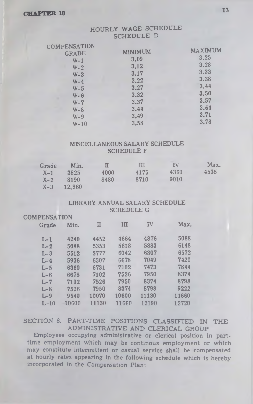## HOURLY WAGE SCHEDULE SCHEDULE D

| COMPENSATION |                |                |
|--------------|----------------|----------------|
| <b>GRADE</b> | <b>MINIMUM</b> | <b>MAXIMUM</b> |
| $W-1$        | 3.09           | 3.25           |
| $W - 2$      | 3.12           | 3.28           |
| $W-3$        | 3.17           | 3.33           |
| $W - 4$      | 3.22           | 3.38           |
| $W-5$        | 3.27           | 3.44           |
| $W - 6$      | 3.32           | 3.50           |
| ۰<br>$W - 7$ | 3.37           | 3.57           |
| $W - 8$      | 3.44           | 3.64           |
| $W - 9$      | 3.49           | 3.71           |
| $W - 10$     | 3.58           | 3.78           |
|              |                |                |

#### MISCELLANEOUS SALARY SCHEDULE SCHEDULE F

| Grade   | Min.   | П    | ш    | IV   | Max. |
|---------|--------|------|------|------|------|
| $X-1$   | 3825   | 4000 | 4175 | 4360 | 4535 |
| $X - 2$ | 8190   | 8480 | 8710 | 9010 |      |
| $X-3$   | 12.960 |      |      |      |      |

#### LIBRARY ANNUAL SALARY SCHEDULE SCHEDULE G

#### COMPENSATION

| Grade   | Min.  | п     | IП    | <b>IV</b> | Max.  |
|---------|-------|-------|-------|-----------|-------|
| $L-1$   | 4240  | 4452  | 4664  | 4876      | 5088  |
| $L-2$   | 5088  | 5353  | 5618  | 5883      | 6148  |
| $L-3$   | 5512  | 5777  | 6042  | 6307      | 6572  |
| $L-4$   | 5936  | 6307  | 6678  | 7049      | 7420  |
| $L-5$   | 6360  | 6731  | 7102  | 7473      | 7844  |
| $L - 6$ | 6678  | 7102  | 7526  | 7950      | 8374  |
| $L-7$   | 7102  | 7526  | 7950  | 8374      | 8798  |
| $L-8$   | 7526  | 7950  | 8374  | 8798      | 9222  |
| $L-9$   | 9540  | 10070 | 10600 | 11130     | 11660 |
| $L-10$  | 10600 | 11130 | 11660 | 12190     | 12720 |

SECTION 8. PART-TIME POSITIONS CLASSIFIED IN THE ADMINISTRATIVE AND CLERICAL GROUP

Employees occupying administrative or clerical position in parttime employment which may be continous employment or which may constitute intermittent or casual service shall be compensated at hourly rates appearing in the following schedule which is hereby incorporated in the Compensation Plan: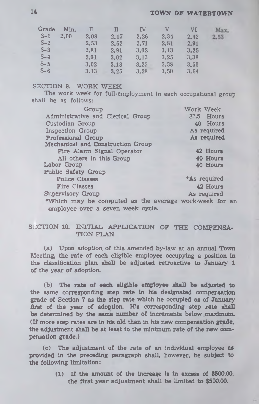# **14 TOWN OF WATERTOWN**

| Grade   | Min. | п    | П    | <b>IV</b> | N    | VI   | Мах  |
|---------|------|------|------|-----------|------|------|------|
| $S-1$   | 2.00 | 2.08 | 2.17 | 2.26      | 2.34 | 2.42 | 2.53 |
| $S-2$   |      | 2.53 | 2.62 | 2.71      | 2.81 | 2.91 |      |
| $S-3$   |      | 2.81 | 2.91 | 3.02      | 3.13 | 3.25 |      |
| $S-4$   |      | 2.91 | 3.02 | 3.13      | 3.25 | 3.38 |      |
| $S-5$   |      | 3.02 | 3.13 | 3.25      | 3.38 | 3.50 |      |
| $S - 6$ |      | 3.13 | 3.25 | 3.28      | 3.50 | 3.64 |      |

# **SECTION 9. WORK WEEK**

The work week for full-employment in each occupational group **shall be as follows:**

| Group                                                  | Work Week           |
|--------------------------------------------------------|---------------------|
| Administrative and Clerical Group                      | 37.5 Hours          |
| Custodian Group                                        | 40 Hours            |
| Inspection Group                                       | As required         |
| Professional Group                                     | As required         |
| Mechanical and Construction Group                      |                     |
| Fire Alarm Signal Operator                             | 42 Hours            |
| All others in this Group                               | 40 Hours            |
| Labor Group                                            | 40 Hours            |
| <b>Public Safety Group</b>                             |                     |
| <b>Police Classes</b>                                  | <b>*As required</b> |
| <b>Fire Classes</b>                                    | 42 Hours            |
| Supervisory Group                                      | As required         |
| *Which may be computed as the average work-week for an |                     |
| employee over a seven week cycle.                      |                     |

# SUCTION 10. INITIAL APPLICATION OF THE COMPENSA-**TION PLAN**

**(a) Upon adoption, of this amended by-law at an annual Town Meeting, the rate of each eligible employee occupying a position in the classification plan, shall be adjusted retroactive to January 1 of the year of adoption.**

**(b) The rate of each eligible employee shall be adjusted to the same corresponding step rate In his designated compensation grade of Section 7 as the step rate which he occupied as of January first of the year of adoption. His corresponding step rate shall be determined by the same number of increments below maximum. (If more step rates are in his old than in his new compensation grade, the adjustment shall be at least to the minimum rate of the new compensation grade.)**

**(c) The adjustment of the rate of an Individual employee as provided in the preceding paragraph shall, however, be subject to the following limitation:**

> **(1) If the amount of the increase is in excess of \$500.00, the first year adjustment shall be limited to \$500.00.**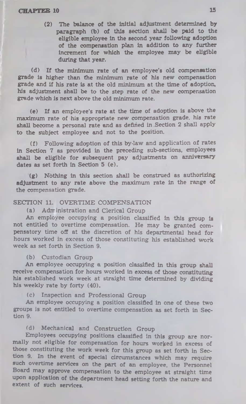(2) The balance of the Initial adjustment determined by paragraph (b) of this section shall be paid to the eligible employee in the second year following adoption of the compensation plan in addition to any further increment for which the employee may be eligible during that year.

(d) If the minimum rate of an employee's old compensation grade is higher than the minimum rate of his new compensation grade and if his rate is at the old minimum at the time of adoption, his adjustment shall be to the step rate of the new compensation grade which is next above the old minimum rate.

(e) If an employee's rate at the time of adoption is above the maximum rate of his appropriate new compensation grade, his rate shall become a personal rate and as defined in .Section 2 shall apply to the subject employee and not to the position.

(f) Following adoption of this by-law and application of rates in Section 7 as provided in the preceding sub-sections, employees shall be eligible for subsequent pay adjustments on anniversary dates as set forth in Section 5 (e).

(g) Nothing in this section shall be construed as authorizing adjustment to any rate above the maximum rate in the range of the compensation grade.

#### SECTION 11. OVERTIME COMPENSATION

(a) Administration and Clerical Group

An employee occupying a position classified In this group is not entitled to overtime compensation. He may be granted compensatory time off at the discretion of his departmental head for hours worked in excess of those constituting his established work week as set forth in Section 9.

#### (b) Custodian Group

An employee occupying a position classified in this group shall receive compensation for hours worked in excess of those constituting his established work week at straight time determined by dividing his weekly rate by forty (40).

## (c) Inspection and Professional Group

An employee occupying a position classified in one of these two groups is not entitled to overtime compensation as set forth in Section 9.

## (d) Mechanical and Construction Group

Employees occupying positions classified in this group are normally not eligible for compensation for hours worked in excess of those constituting the work week for this group as set forth in Section 9. In the event of special circumstances which may require such overtime services on the part of an employee, the Personnel Board may approve compensation to the employee at straight time upon application of the department head setting forth the nature and extent of such services.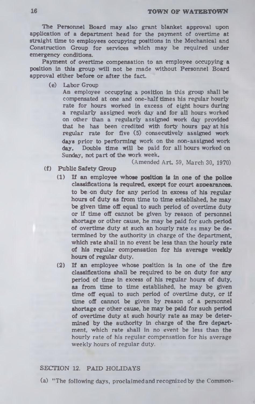### **16 TOWN OF WATERTOWN**

**The Personnel Board may also grant blanket approval upon application of a department head for the payment of overtime at straight time to employees occupying positions in the Mechanical and Construction Group for services which may be required under emergency conditions.**

**Payment of overtime compensation to an employee occupying a position in this group will not be made without Personnel Board approval either before or after the fact.**

**(e) Labor Group**

**An employee occupying a position in this group shall be compensated at one and one-half times his regular hourly rate for hours worked in excess of eight hours during a regularly assigned work day and for all hours worked on other than a regularly assigned work day provided that he has been credited with forty hours pay at his regular rate for five (5) consecutively assigned work days prior to performing work on the non-assigned work day. Double time will be paid for all hours worked on Sunday, not part of the work week.**

# (Amended Art. 59, March 30, 1970)

- **(f) Public Safety Group**
	- **(1) If an employee whose position is in one of the police classifications is required, except for court appearances. to be -on duty for any period in excess of his regular hours of duty as from time to time established, he may be given time off equal to such period of overtime duty or if time off cannot be given by reason of personnel shortage or other cause, he may be paid for such period of overtime duty at such an hourly rate es may be determined by the authority in charge of the department, which rate shall in no event be less than the hourly rate of his regular compensation for his average weekly hours of regular duty.**
	- **(2) If an employee whose position is in one of the fire classifications shall be required to be on duty for any period of time in excess of his regular hours of duty, as from time to time established, he may be given time off equal to such period of overtime duty, or if time off cannot be given by reason of a personnel shortage or other cause, he may be paid for such period of overtime duty at such hourly rate as may be determined by the authority in charge of the fire department, which rate shall in no event be less than the hourly rate of his regular compensation for his average weekly hours of regular duty.**

## **SECTION 12. PAID HOLIDAYS**

**(a) "The following days, proclaimed and recognized by the Common-**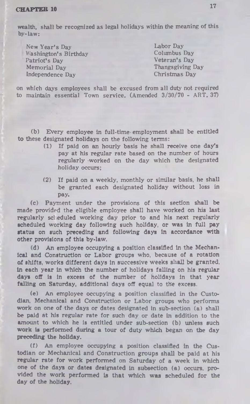wealth, shall be recognized as legal holidays within the meaning of this by-law:

| New Year's Day        |  |
|-----------------------|--|
| Washington's Birthday |  |
| Patriot's Day         |  |
| Memorial Day          |  |
| Independence Day      |  |

Labor Day Columbus Day Veteran's Day Thangsgiving Day Christmas Day

on which days employees shall be excused from all duty not required to maintain essential Town service. (Amended 3/30/70 - ART. 37)

(b) Every employee in full-time • employment shall be entitled to these designated holidays on the following terms:

- (1) If paid on an hourly basis he shall receive one day's pay at his regular rate based on the number of hours regularly worked on the day which the designated holiday occurs;
- (2) If paid on a weekly, monthly or similar basis, he shall be granted each designated holiday without loss in pay.

(c) Payment under the provisions of this section shall be made provided the eligible employee shall have worked on his last regularly scl eduled working day prior to and his next regularly scheduled working day following such holiday, or was in full pay status on such preceding and following days in accordance with other provisions of this by-law.

(d) An employee occupying a position classified in the Mechanical and Construction or Labor groups who, because of a rotation of shifts, works different days in successive weeks shall be granted, in each year in which the number of holidays falling on his regular days off is in excess of the number of holidays in that year falling on Saturday, additional days off equal to the excess.

(e) An employee occupying a position classified in the Custodian, Mechanical and Construction or Labor groups who performs work on one of the days or dates designated in sub-section (a) shall be paid at his regular rate for such day or date in addition to the amount to which he is entitled under sub-section (b) unless such work is performed during a tour of duty which began on the day preceding the holiday.

(f) An employee occupying a position classified in the Custodian or Mechanical and Construction groups shall be paid at his regular rate for work performed on Saturday of a week in which one of the days or dates designated in subsection (a) occurs, provided the work performed is that which was scheduled for the day of the holiday.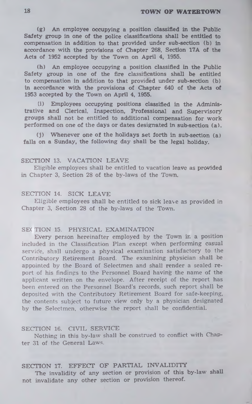# **18 TOWN OF WATERTOWN**

**(g) An employee occupying a position classified In the Public Safety group in one of the police classifications shall be entitled to compensation in addition to that provided under sub-section (b) in accordance with the provisions of Chapter 268, Section 17A of the Acts of 1952 accepted by the Town on April 4, 1955.**

**(h) An employee occupying a position classified in the Public Safety group in one of the fire classifications shall be entitled to compensation in addition to that provided under sub-section (b) in accordance with the provisions of Chapter 640 of the Acts of 1953 accepted by the Town on April 4, 1955.**

**(i) Employees occupying positions classified in the Administrative and Clerical, Inspection, Professional and Supervisory groups shall not be entitled to additional compensation for work performed on one of the days or dates designated in sub section (a).**

**(j) Whenever one of the holidays set forth in sub-section (a) falls on a Sunday, the following day shall be the legal holiday.**

### SECTION 13. VACATION LEAVE

E ligible em ployees shall be entitled to vacation **leave** as **provided** in Chapter 3, Section 28 of the by-laws of the Town.

## SECTION 14. SICK LEAVE

Eligible employees shall be entitled to sick leave as provided in Chapter 3, Section 28 of the by-laws of the Town.

#### SEC TION 15. PHYSICAL EXAMINATION

Every person hereinafter employed by the Town in a position included in the Classification Plan except when performing casual service, shall undergo a physical examination satisfactory to the Contributory Retirement Board. The examining physician shall be appointed by the Board of Selectmen and shall render a sealed report of his findings to the Personnel Board having the name of the applicant written on the envelope. After receipt of the report has been entered on the Personnel Board's records, such report shall be deposited with the Contributory Retirement Board for safe-keeping, the contents subject to future view only by a physician designated by the Selectmen, otherwise the report shall be confidential.

#### SECTION 16. CIVIL SERVICE

Nothing in this by-law shall be construed to conflict with Chapter 31 of the General Laws.

# SECTION 17. EFFECT OF PARTIAL INVALIDITY

**The invalidity of any section or provision of this by-law shall not invalidate any other section or provision thereof.**